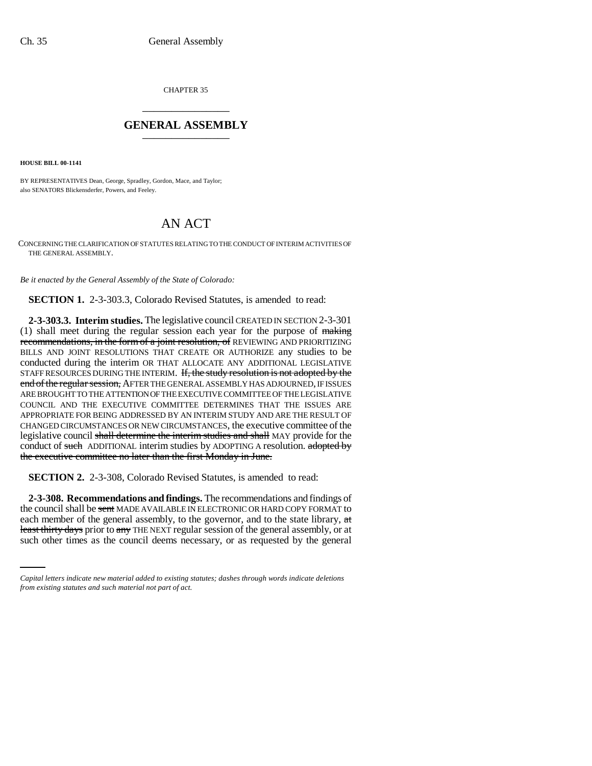CHAPTER 35 \_\_\_\_\_\_\_\_\_\_\_\_\_\_\_

## **GENERAL ASSEMBLY** \_\_\_\_\_\_\_\_\_\_\_\_\_\_\_

**HOUSE BILL 00-1141** 

BY REPRESENTATIVES Dean, George, Spradley, Gordon, Mace, and Taylor; also SENATORS Blickensderfer, Powers, and Feeley.

## AN ACT

CONCERNING THE CLARIFICATION OF STATUTES RELATING TO THE CONDUCT OF INTERIM ACTIVITIES OF THE GENERAL ASSEMBLY.

*Be it enacted by the General Assembly of the State of Colorado:*

**SECTION 1.** 2-3-303.3, Colorado Revised Statutes, is amended to read:

**2-3-303.3. Interim studies.** The legislative council CREATED IN SECTION 2-3-301 (1) shall meet during the regular session each year for the purpose of making recommendations, in the form of a joint resolution, of REVIEWING AND PRIORITIZING BILLS AND JOINT RESOLUTIONS THAT CREATE OR AUTHORIZE any studies to be conducted during the interim OR THAT ALLOCATE ANY ADDITIONAL LEGISLATIVE STAFF RESOURCES DURING THE INTERIM. If, the study resolution is not adopted by the end of the regular session, AFTER THE GENERAL ASSEMBLY HAS ADJOURNED, IF ISSUES ARE BROUGHT TO THE ATTENTION OF THE EXECUTIVE COMMITTEE OF THE LEGISLATIVE COUNCIL AND THE EXECUTIVE COMMITTEE DETERMINES THAT THE ISSUES ARE APPROPRIATE FOR BEING ADDRESSED BY AN INTERIM STUDY AND ARE THE RESULT OF CHANGED CIRCUMSTANCES OR NEW CIRCUMSTANCES, the executive committee of the legislative council shall determine the interim studies and shall MAY provide for the conduct of such ADDITIONAL interim studies by ADOPTING A resolution. adopted by the executive committee no later than the first Monday in June.

**SECTION 2.** 2-3-308, Colorado Revised Statutes, is amended to read:

each member of the general assembly, to the governor, and to the state library, at **2-3-308. Recommendations and findings.** The recommendations and findings of the council shall be sent MADE AVAILABLE IN ELECTRONIC OR HARD COPY FORMAT to least thirty days prior to any THE NEXT regular session of the general assembly, or at such other times as the council deems necessary, or as requested by the general

*Capital letters indicate new material added to existing statutes; dashes through words indicate deletions from existing statutes and such material not part of act.*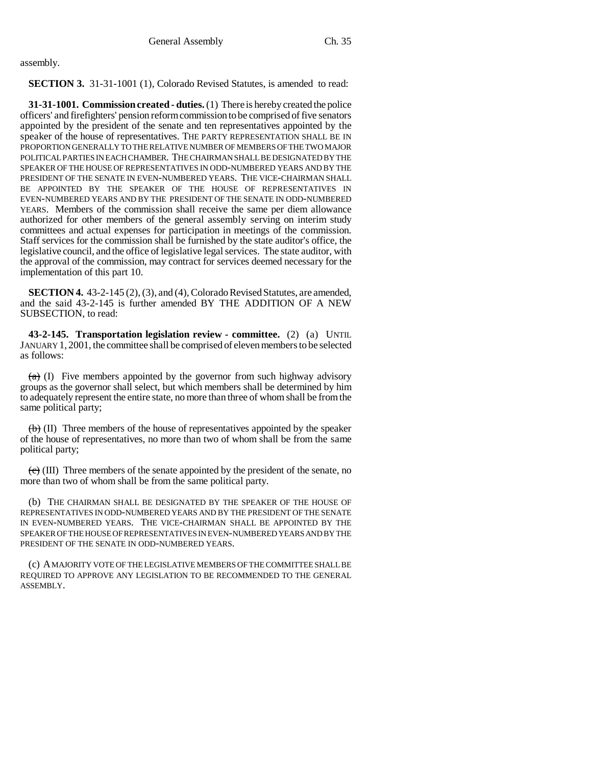assembly.

**SECTION 3.** 31-31-1001 (1), Colorado Revised Statutes, is amended to read:

**31-31-1001. Commission created - duties.** (1) There is hereby created the police officers' and firefighters' pension reform commission to be comprised of five senators appointed by the president of the senate and ten representatives appointed by the speaker of the house of representatives. THE PARTY REPRESENTATION SHALL BE IN PROPORTION GENERALLY TO THE RELATIVE NUMBER OF MEMBERS OF THE TWO MAJOR POLITICAL PARTIES IN EACH CHAMBER. THE CHAIRMAN SHALL BE DESIGNATED BY THE SPEAKER OF THE HOUSE OF REPRESENTATIVES IN ODD-NUMBERED YEARS AND BY THE PRESIDENT OF THE SENATE IN EVEN-NUMBERED YEARS. THE VICE-CHAIRMAN SHALL BE APPOINTED BY THE SPEAKER OF THE HOUSE OF REPRESENTATIVES IN EVEN-NUMBERED YEARS AND BY THE PRESIDENT OF THE SENATE IN ODD-NUMBERED YEARS. Members of the commission shall receive the same per diem allowance authorized for other members of the general assembly serving on interim study committees and actual expenses for participation in meetings of the commission. Staff services for the commission shall be furnished by the state auditor's office, the legislative council, and the office of legislative legal services. The state auditor, with the approval of the commission, may contract for services deemed necessary for the implementation of this part 10.

**SECTION 4.** 43-2-145 (2), (3), and (4), Colorado Revised Statutes, are amended, and the said 43-2-145 is further amended BY THE ADDITION OF A NEW SUBSECTION, to read:

**43-2-145. Transportation legislation review - committee.** (2) (a) UNTIL JANUARY 1, 2001, the committee shall be comprised of eleven members to be selected as follows:

 $(a)$  (I) Five members appointed by the governor from such highway advisory groups as the governor shall select, but which members shall be determined by him to adequately represent the entire state, no more than three of whom shall be from the same political party;

 $\langle \theta \rangle$  (II) Three members of the house of representatives appointed by the speaker of the house of representatives, no more than two of whom shall be from the same political party;

 $\left(\frac{e}{c}\right)$  (III) Three members of the senate appointed by the president of the senate, no more than two of whom shall be from the same political party.

(b) THE CHAIRMAN SHALL BE DESIGNATED BY THE SPEAKER OF THE HOUSE OF REPRESENTATIVES IN ODD-NUMBERED YEARS AND BY THE PRESIDENT OF THE SENATE IN EVEN-NUMBERED YEARS. THE VICE-CHAIRMAN SHALL BE APPOINTED BY THE SPEAKER OF THE HOUSE OF REPRESENTATIVES IN EVEN-NUMBERED YEARS AND BY THE PRESIDENT OF THE SENATE IN ODD-NUMBERED YEARS.

(c) A MAJORITY VOTE OF THE LEGISLATIVE MEMBERS OF THE COMMITTEE SHALL BE REQUIRED TO APPROVE ANY LEGISLATION TO BE RECOMMENDED TO THE GENERAL ASSEMBLY.